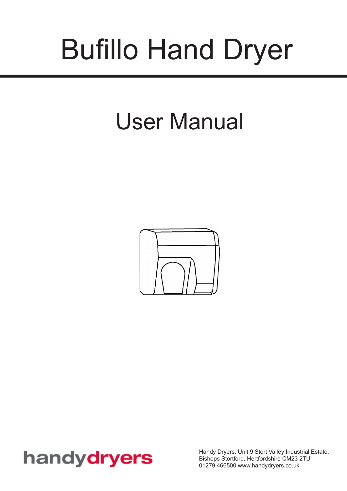# Bufillo Hand Dryer

# User Manual



### handydryers

Handy Dryers, Unit 9 Stort Valley Industrial Estate, Bishops Stortford, Hertfordshire CM23 2TU 01279 466500 www.handydryers.co.uk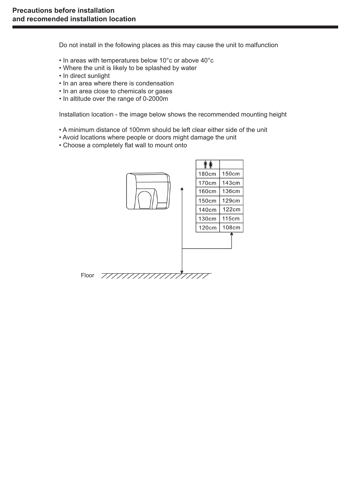Do not install in the following places as this may cause the unit to malfunction

- In areas with temperatures below 10°c or above 40°c
- Where the unit is likely to be splashed by water
- In direct sunlight
- In an area where there is condensation
- In an area close to chemicals or gases
- In altitude over the range of 0-2000m

Installation location - the image below shows the recommended mounting height

- A minimum distance of 100mm should be left clear either side of the unit
- Avoid locations where people or doors might damage the unit
- Choose a completely flat wall to mount onto

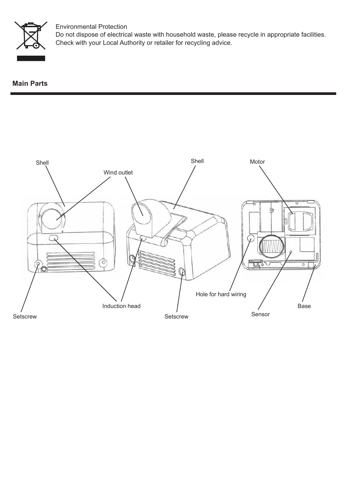

#### Environmental Protection

Do not dispose of electrical waste with household waste, please recycle in appropriate facilities. Check with your Local Authority or retailer for recycling advice.

**Main Parts**

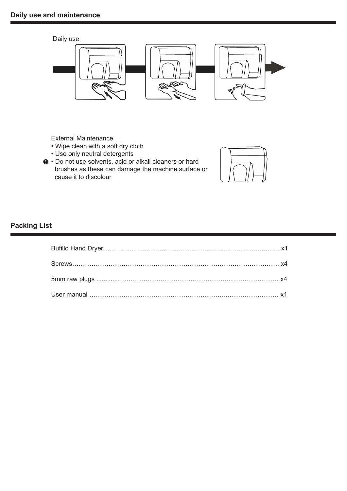

External Maintenance

- Wipe clean with a soft dry cloth
- Use only neutral detergents
- Do not use solvents, acid or alkali cleaners or hard brushes as these can damage the machine surface or cause it to discolour



#### **Packing List**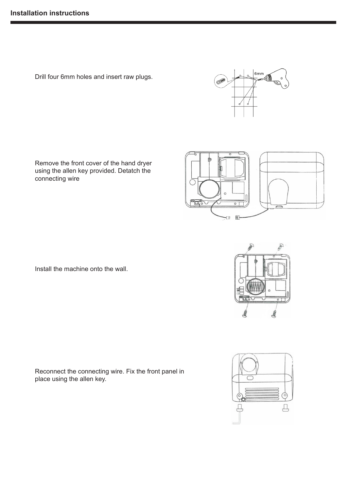Drill four 6mm holes and insert raw plugs.

Remove the front cover of the hand dryer using the allen key provided. Detatch the connecting wire

Install the machine onto the wall.

Reconnect the connecting wire. Fix the front panel in place using the allen key.